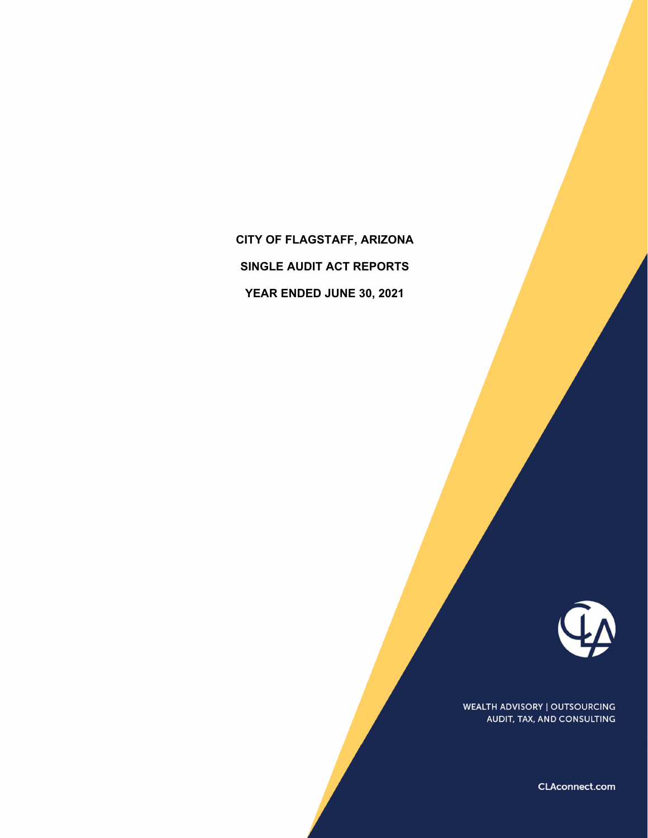# **CITY OF FLAGSTAFF, ARIZONA SINGLE AUDIT ACT REPORTS YEAR ENDED JUNE 30, 2021**



**WEALTH ADVISORY | OUTSOURCING** AUDIT, TAX, AND CONSULTING

CLAconnect.com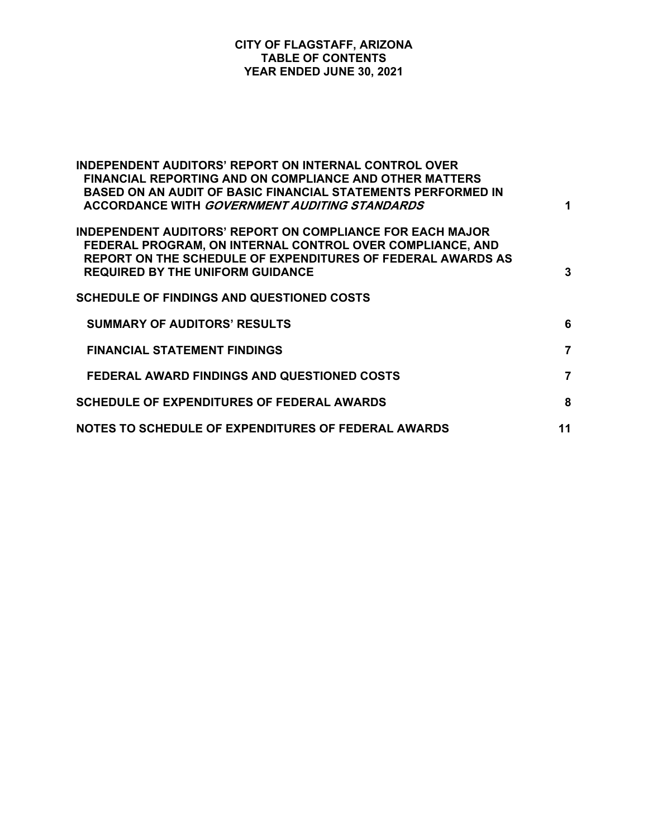#### **CITY OF FLAGSTAFF, ARIZONA TABLE OF CONTENTS YEAR ENDED JUNE 30, 2021**

| <b>INDEPENDENT AUDITORS' REPORT ON INTERNAL CONTROL OVER</b><br>FINANCIAL REPORTING AND ON COMPLIANCE AND OTHER MATTERS<br><b>BASED ON AN AUDIT OF BASIC FINANCIAL STATEMENTS PERFORMED IN</b><br><b>ACCORDANCE WITH GOVERNMENT AUDITING STANDARDS</b> |    |
|--------------------------------------------------------------------------------------------------------------------------------------------------------------------------------------------------------------------------------------------------------|----|
| <b>INDEPENDENT AUDITORS' REPORT ON COMPLIANCE FOR EACH MAJOR</b><br>FEDERAL PROGRAM, ON INTERNAL CONTROL OVER COMPLIANCE, AND<br>REPORT ON THE SCHEDULE OF EXPENDITURES OF FEDERAL AWARDS AS<br><b>REQUIRED BY THE UNIFORM GUIDANCE</b>                | 3  |
| <b>SCHEDULE OF FINDINGS AND QUESTIONED COSTS</b>                                                                                                                                                                                                       |    |
| <b>SUMMARY OF AUDITORS' RESULTS</b>                                                                                                                                                                                                                    | 6  |
| <b>FINANCIAL STATEMENT FINDINGS</b>                                                                                                                                                                                                                    | 7  |
| FEDERAL AWARD FINDINGS AND QUESTIONED COSTS                                                                                                                                                                                                            | 7  |
| <b>SCHEDULE OF EXPENDITURES OF FEDERAL AWARDS</b>                                                                                                                                                                                                      | 8  |
| NOTES TO SCHEDULE OF EXPENDITURES OF FEDERAL AWARDS                                                                                                                                                                                                    | 11 |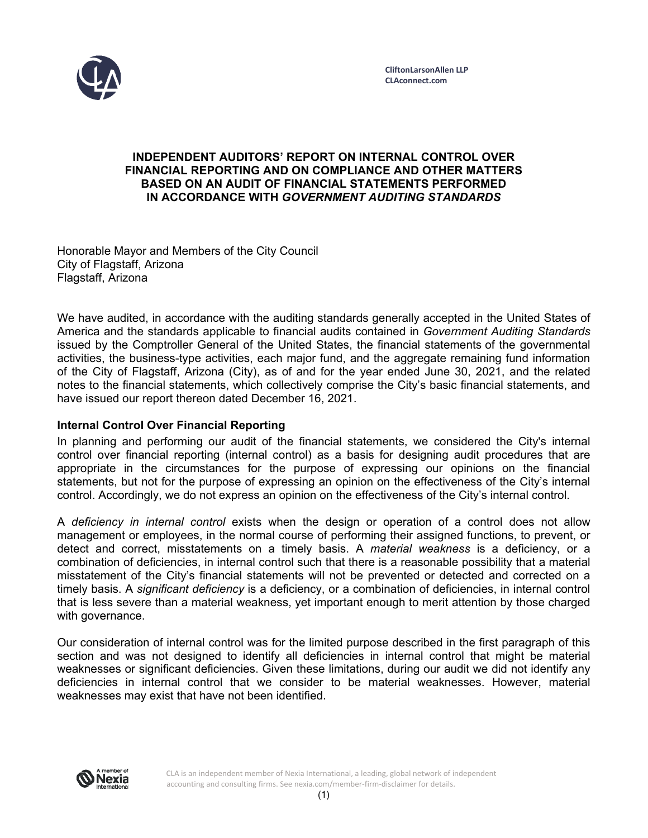

#### **INDEPENDENT AUDITORS' REPORT ON INTERNAL CONTROL OVER FINANCIAL REPORTING AND ON COMPLIANCE AND OTHER MATTERS BASED ON AN AUDIT OF FINANCIAL STATEMENTS PERFORMED IN ACCORDANCE WITH** *GOVERNMENT AUDITING STANDARDS*

Honorable Mayor and Members of the City Council City of Flagstaff, Arizona Flagstaff, Arizona

We have audited, in accordance with the auditing standards generally accepted in the United States of America and the standards applicable to financial audits contained in *Government Auditing Standards*  issued by the Comptroller General of the United States, the financial statements of the governmental activities, the business-type activities, each major fund, and the aggregate remaining fund information of the City of Flagstaff, Arizona (City), as of and for the year ended June 30, 2021, and the related notes to the financial statements, which collectively comprise the City's basic financial statements, and have issued our report thereon dated December 16, 2021.

# **Internal Control Over Financial Reporting**

In planning and performing our audit of the financial statements, we considered the City's internal control over financial reporting (internal control) as a basis for designing audit procedures that are appropriate in the circumstances for the purpose of expressing our opinions on the financial statements, but not for the purpose of expressing an opinion on the effectiveness of the City's internal control. Accordingly, we do not express an opinion on the effectiveness of the City's internal control.

A *deficiency in internal control* exists when the design or operation of a control does not allow management or employees, in the normal course of performing their assigned functions, to prevent, or detect and correct, misstatements on a timely basis. A *material weakness* is a deficiency, or a combination of deficiencies, in internal control such that there is a reasonable possibility that a material misstatement of the City's financial statements will not be prevented or detected and corrected on a timely basis. A *significant deficiency* is a deficiency, or a combination of deficiencies, in internal control that is less severe than a material weakness, yet important enough to merit attention by those charged with governance.

Our consideration of internal control was for the limited purpose described in the first paragraph of this section and was not designed to identify all deficiencies in internal control that might be material weaknesses or significant deficiencies. Given these limitations, during our audit we did not identify any deficiencies in internal control that we consider to be material weaknesses. However, material weaknesses may exist that have not been identified.

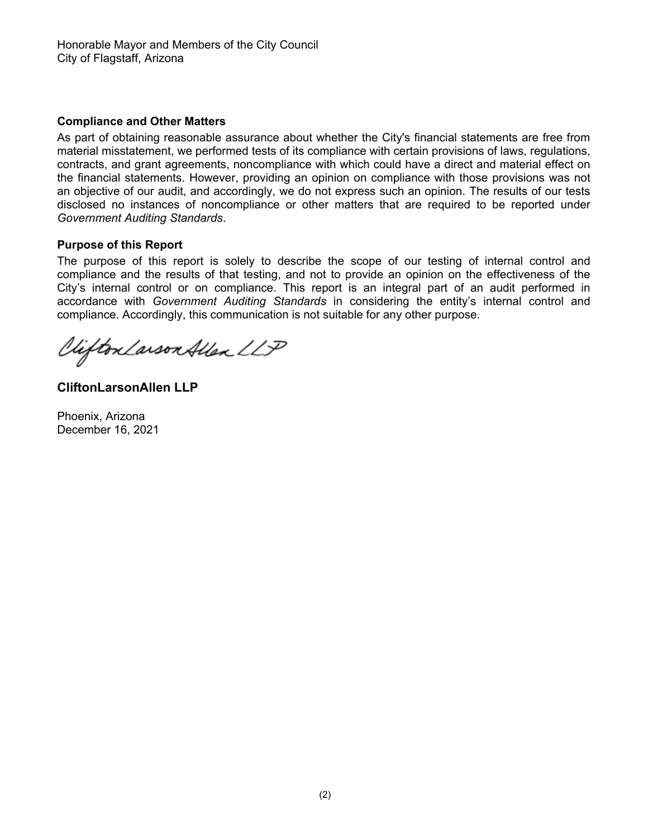#### **Compliance and Other Matters**

As part of obtaining reasonable assurance about whether the City's financial statements are free from material misstatement, we performed tests of its compliance with certain provisions of laws, regulations, contracts, and grant agreements, noncompliance with which could have a direct and material effect on the financial statements. However, providing an opinion on compliance with those provisions was not an objective of our audit, and accordingly, we do not express such an opinion. The results of our tests disclosed no instances of noncompliance or other matters that are required to be reported under *Government Auditing Standards*.

# **Purpose of this Report**

The purpose of this report is solely to describe the scope of our testing of internal control and compliance and the results of that testing, and not to provide an opinion on the effectiveness of the City's internal control or on compliance. This report is an integral part of an audit performed in accordance with *Government Auditing Standards* in considering the entity's internal control and compliance. Accordingly, this communication is not suitable for any other purpose.

Clifton Larson Allen LLP

**CliftonLarsonAllen LLP** 

Phoenix, Arizona December 16, 2021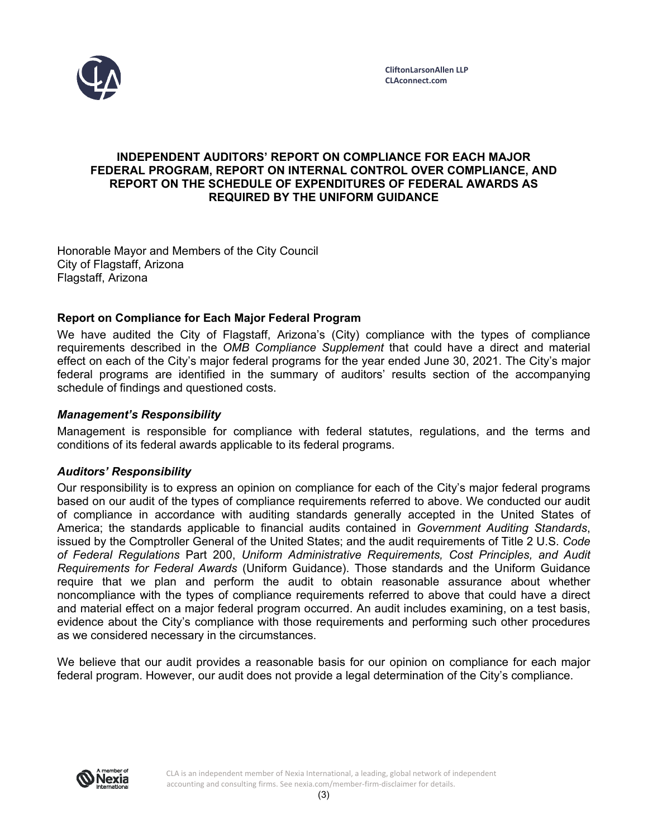

# **INDEPENDENT AUDITORS' REPORT ON COMPLIANCE FOR EACH MAJOR FEDERAL PROGRAM, REPORT ON INTERNAL CONTROL OVER COMPLIANCE, AND REPORT ON THE SCHEDULE OF EXPENDITURES OF FEDERAL AWARDS AS REQUIRED BY THE UNIFORM GUIDANCE**

Honorable Mayor and Members of the City Council City of Flagstaff, Arizona Flagstaff, Arizona

# **Report on Compliance for Each Major Federal Program**

We have audited the City of Flagstaff, Arizona's (City) compliance with the types of compliance requirements described in the *OMB Compliance Supplement* that could have a direct and material effect on each of the City's major federal programs for the year ended June 30, 2021. The City's major federal programs are identified in the summary of auditors' results section of the accompanying schedule of findings and questioned costs.

#### *Management's Responsibility*

Management is responsible for compliance with federal statutes, regulations, and the terms and conditions of its federal awards applicable to its federal programs.

#### *Auditors' Responsibility*

Our responsibility is to express an opinion on compliance for each of the City's major federal programs based on our audit of the types of compliance requirements referred to above. We conducted our audit of compliance in accordance with auditing standards generally accepted in the United States of America; the standards applicable to financial audits contained in *Government Auditing Standards*, issued by the Comptroller General of the United States; and the audit requirements of Title 2 U.S. *Code of Federal Regulations* Part 200, *Uniform Administrative Requirements, Cost Principles, and Audit Requirements for Federal Awards* (Uniform Guidance). Those standards and the Uniform Guidance require that we plan and perform the audit to obtain reasonable assurance about whether noncompliance with the types of compliance requirements referred to above that could have a direct and material effect on a major federal program occurred. An audit includes examining, on a test basis, evidence about the City's compliance with those requirements and performing such other procedures as we considered necessary in the circumstances.

We believe that our audit provides a reasonable basis for our opinion on compliance for each major federal program. However, our audit does not provide a legal determination of the City's compliance.

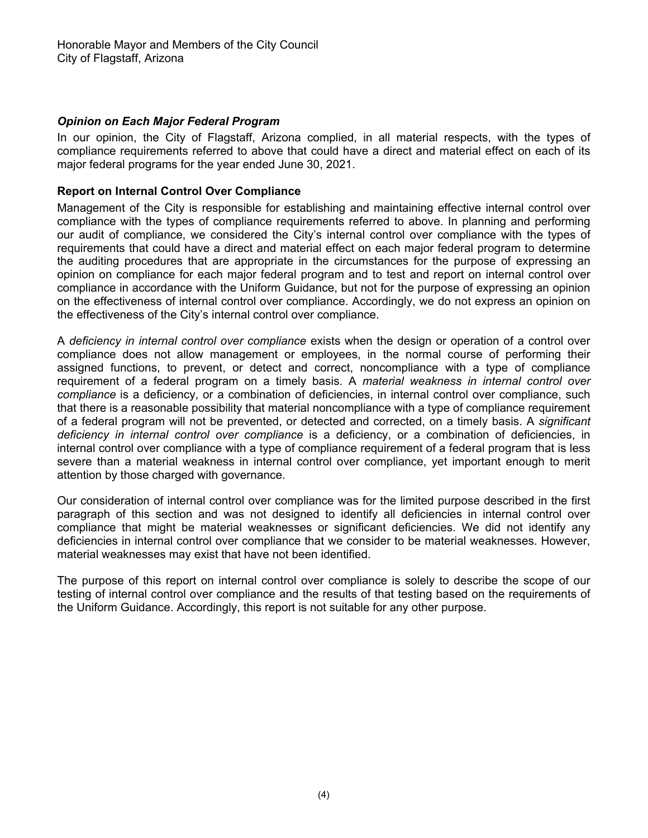#### *Opinion on Each Major Federal Program*

In our opinion, the City of Flagstaff, Arizona complied, in all material respects, with the types of compliance requirements referred to above that could have a direct and material effect on each of its major federal programs for the year ended June 30, 2021.

#### **Report on Internal Control Over Compliance**

Management of the City is responsible for establishing and maintaining effective internal control over compliance with the types of compliance requirements referred to above. In planning and performing our audit of compliance, we considered the City's internal control over compliance with the types of requirements that could have a direct and material effect on each major federal program to determine the auditing procedures that are appropriate in the circumstances for the purpose of expressing an opinion on compliance for each major federal program and to test and report on internal control over compliance in accordance with the Uniform Guidance, but not for the purpose of expressing an opinion on the effectiveness of internal control over compliance. Accordingly, we do not express an opinion on the effectiveness of the City's internal control over compliance.

A *deficiency in internal control over compliance* exists when the design or operation of a control over compliance does not allow management or employees, in the normal course of performing their assigned functions, to prevent, or detect and correct, noncompliance with a type of compliance requirement of a federal program on a timely basis. A *material weakness in internal control over compliance* is a deficiency, or a combination of deficiencies, in internal control over compliance, such that there is a reasonable possibility that material noncompliance with a type of compliance requirement of a federal program will not be prevented, or detected and corrected, on a timely basis. A *significant deficiency in internal control over compliance* is a deficiency, or a combination of deficiencies, in internal control over compliance with a type of compliance requirement of a federal program that is less severe than a material weakness in internal control over compliance, yet important enough to merit attention by those charged with governance.

Our consideration of internal control over compliance was for the limited purpose described in the first paragraph of this section and was not designed to identify all deficiencies in internal control over compliance that might be material weaknesses or significant deficiencies. We did not identify any deficiencies in internal control over compliance that we consider to be material weaknesses. However, material weaknesses may exist that have not been identified.

The purpose of this report on internal control over compliance is solely to describe the scope of our testing of internal control over compliance and the results of that testing based on the requirements of the Uniform Guidance. Accordingly, this report is not suitable for any other purpose.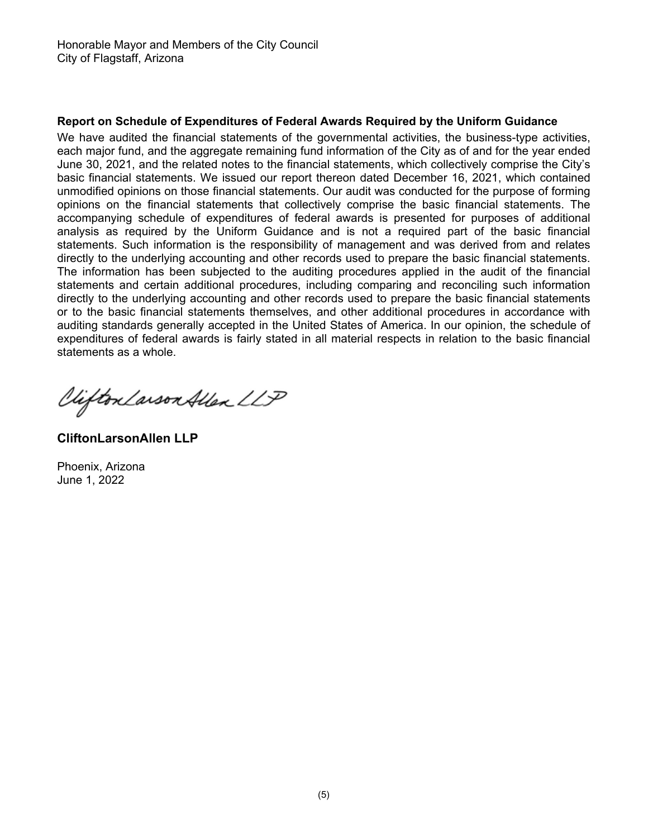#### **Report on Schedule of Expenditures of Federal Awards Required by the Uniform Guidance**

We have audited the financial statements of the governmental activities, the business-type activities, each major fund, and the aggregate remaining fund information of the City as of and for the year ended June 30, 2021, and the related notes to the financial statements, which collectively comprise the City's basic financial statements. We issued our report thereon dated December 16, 2021, which contained unmodified opinions on those financial statements. Our audit was conducted for the purpose of forming opinions on the financial statements that collectively comprise the basic financial statements. The accompanying schedule of expenditures of federal awards is presented for purposes of additional analysis as required by the Uniform Guidance and is not a required part of the basic financial statements. Such information is the responsibility of management and was derived from and relates directly to the underlying accounting and other records used to prepare the basic financial statements. The information has been subjected to the auditing procedures applied in the audit of the financial statements and certain additional procedures, including comparing and reconciling such information directly to the underlying accounting and other records used to prepare the basic financial statements or to the basic financial statements themselves, and other additional procedures in accordance with auditing standards generally accepted in the United States of America. In our opinion, the schedule of expenditures of federal awards is fairly stated in all material respects in relation to the basic financial statements as a whole.

Clifton Larson Allen LLP

**CliftonLarsonAllen LLP** 

Phoenix, Arizona June 1, 2022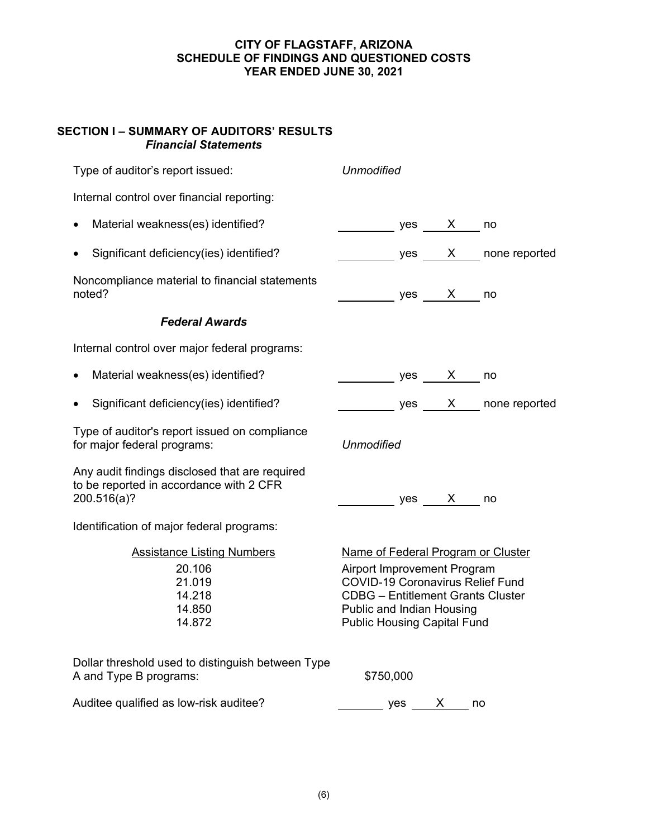#### **CITY OF FLAGSTAFF, ARIZONA SCHEDULE OF FINDINGS AND QUESTIONED COSTS YEAR ENDED JUNE 30, 2021**

# **SECTION I – SUMMARY OF AUDITORS' RESULTS**  *Financial Statements*

| Type of auditor's report issued:                                                                         | <b>Unmodified</b>                                                                                                                                                                                                                  |     |   |                                               |
|----------------------------------------------------------------------------------------------------------|------------------------------------------------------------------------------------------------------------------------------------------------------------------------------------------------------------------------------------|-----|---|-----------------------------------------------|
| Internal control over financial reporting:                                                               |                                                                                                                                                                                                                                    |     |   |                                               |
| Material weakness(es) identified?<br>$\bullet$                                                           | $\frac{1}{\sqrt{1-\frac{1}{2}}}\,$ yes $\frac{1}{\sqrt{1-\frac{1}{2}}}\,$ no                                                                                                                                                       |     |   |                                               |
| Significant deficiency(ies) identified?<br>$\bullet$                                                     |                                                                                                                                                                                                                                    |     |   | $\frac{1}{2}$ yes $\frac{X}{2}$ none reported |
| Noncompliance material to financial statements<br>noted?                                                 | yes X no                                                                                                                                                                                                                           |     |   |                                               |
| <b>Federal Awards</b>                                                                                    |                                                                                                                                                                                                                                    |     |   |                                               |
| Internal control over major federal programs:                                                            |                                                                                                                                                                                                                                    |     |   |                                               |
| Material weakness(es) identified?                                                                        | ___________ yes _____X ____ no                                                                                                                                                                                                     |     |   |                                               |
| Significant deficiency(ies) identified?<br>$\bullet$                                                     |                                                                                                                                                                                                                                    |     |   | yes <u>X</u> none reported                    |
| Type of auditor's report issued on compliance<br>for major federal programs:                             | <b>Unmodified</b>                                                                                                                                                                                                                  |     |   |                                               |
| Any audit findings disclosed that are required<br>to be reported in accordance with 2 CFR<br>200.516(a)? | $yes$ X                                                                                                                                                                                                                            |     |   | no                                            |
| Identification of major federal programs:                                                                |                                                                                                                                                                                                                                    |     |   |                                               |
| <b>Assistance Listing Numbers</b><br>20.106<br>21.019<br>14.218<br>14.850<br>14.872                      | Name of Federal Program or Cluster<br><b>Airport Improvement Program</b><br><b>COVID-19 Coronavirus Relief Fund</b><br><b>CDBG</b> - Entitlement Grants Cluster<br>Public and Indian Housing<br><b>Public Housing Capital Fund</b> |     |   |                                               |
| Dollar threshold used to distinguish between Type<br>A and Type B programs:                              | \$750,000                                                                                                                                                                                                                          |     |   |                                               |
| Auditee qualified as low-risk auditee?                                                                   |                                                                                                                                                                                                                                    | yes | X | no                                            |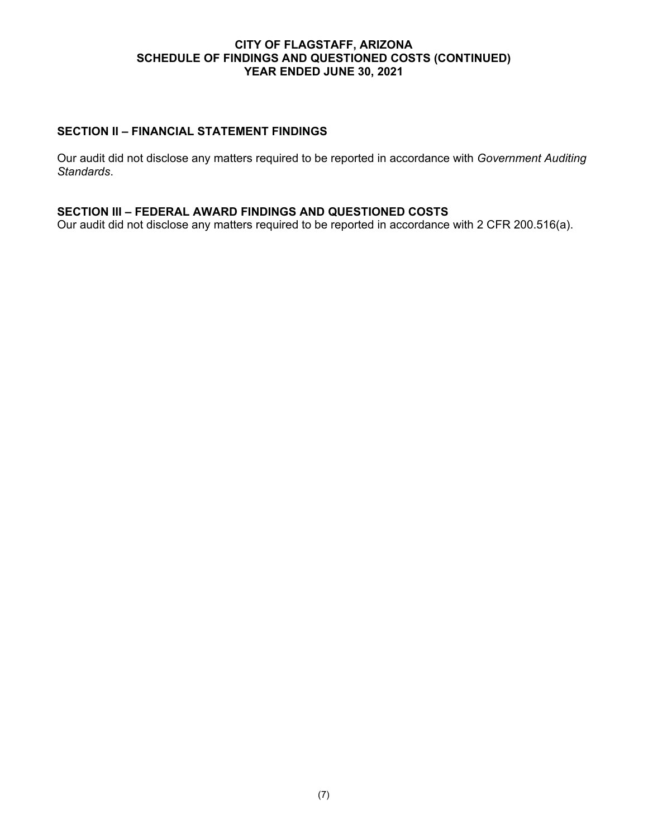#### **CITY OF FLAGSTAFF, ARIZONA SCHEDULE OF FINDINGS AND QUESTIONED COSTS (CONTINUED) YEAR ENDED JUNE 30, 2021**

#### **SECTION II – FINANCIAL STATEMENT FINDINGS**

Our audit did not disclose any matters required to be reported in accordance with *Government Auditing Standards*.

# **SECTION III – FEDERAL AWARD FINDINGS AND QUESTIONED COSTS**

Our audit did not disclose any matters required to be reported in accordance with 2 CFR 200.516(a).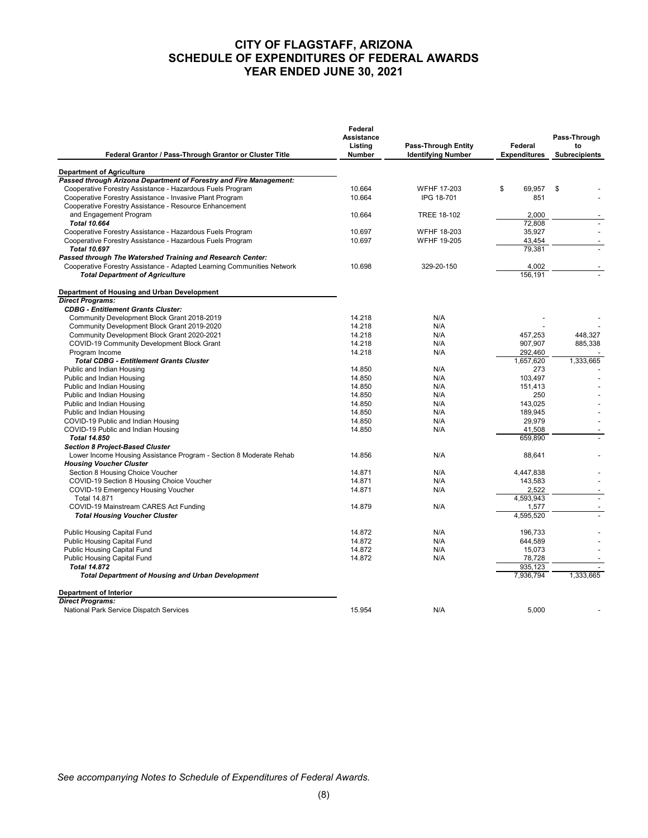# **CITY OF FLAGSTAFF, ARIZONA SCHEDULE OF EXPENDITURES OF FEDERAL AWARDS YEAR ENDED JUNE 30, 2021**

| Federal Grantor / Pass-Through Grantor or Cluster Title                          | Federal<br><b>Assistance</b><br>Listing<br><b>Number</b> | <b>Pass-Through Entity</b><br><b>Identifying Number</b> | Federal<br><b>Expenditures</b> | Pass-Through<br>to<br><b>Subrecipients</b> |
|----------------------------------------------------------------------------------|----------------------------------------------------------|---------------------------------------------------------|--------------------------------|--------------------------------------------|
|                                                                                  |                                                          |                                                         |                                |                                            |
| <b>Department of Agriculture</b>                                                 |                                                          |                                                         |                                |                                            |
| Passed through Arizona Department of Forestry and Fire Management:               |                                                          |                                                         |                                |                                            |
| Cooperative Forestry Assistance - Hazardous Fuels Program                        | 10.664                                                   | <b>WFHF 17-203</b>                                      | \$<br>69,957                   | \$                                         |
| Cooperative Forestry Assistance - Invasive Plant Program                         | 10.664                                                   | IPG 18-701                                              | 851                            |                                            |
| Cooperative Forestry Assistance - Resource Enhancement                           |                                                          |                                                         |                                |                                            |
| and Engagement Program                                                           | 10.664                                                   | TREE 18-102                                             | 2,000                          |                                            |
| <b>Total 10.664</b>                                                              |                                                          |                                                         | 72,808                         |                                            |
| Cooperative Forestry Assistance - Hazardous Fuels Program                        | 10.697<br>10.697                                         | <b>WFHF 18-203</b><br><b>WFHF 19-205</b>                | 35,927                         |                                            |
| Cooperative Forestry Assistance - Hazardous Fuels Program<br><b>Total 10.697</b> |                                                          |                                                         | 43,454                         |                                            |
| Passed through The Watershed Training and Research Center:                       |                                                          |                                                         | 79,381                         |                                            |
| Cooperative Forestry Assistance - Adapted Learning Communities Network           | 10.698                                                   | 329-20-150                                              | 4.002                          |                                            |
| <b>Total Department of Agriculture</b>                                           |                                                          |                                                         | 156.191                        |                                            |
|                                                                                  |                                                          |                                                         |                                |                                            |
| Department of Housing and Urban Development                                      |                                                          |                                                         |                                |                                            |
| <b>Direct Programs:</b>                                                          |                                                          |                                                         |                                |                                            |
| <b>CDBG - Entitlement Grants Cluster:</b>                                        |                                                          |                                                         |                                |                                            |
| Community Development Block Grant 2018-2019                                      | 14.218                                                   | N/A                                                     |                                |                                            |
| Community Development Block Grant 2019-2020                                      | 14.218                                                   | N/A                                                     |                                |                                            |
| Community Development Block Grant 2020-2021                                      | 14.218                                                   | N/A                                                     | 457,253                        | 448,327                                    |
| COVID-19 Community Development Block Grant                                       | 14.218                                                   | N/A                                                     | 907,907                        | 885,338                                    |
| Program Income                                                                   | 14.218                                                   | N/A                                                     | 292,460                        |                                            |
| <b>Total CDBG - Entitlement Grants Cluster</b>                                   |                                                          |                                                         | 1,657,620                      | 1,333,665                                  |
| Public and Indian Housing                                                        | 14.850                                                   | N/A                                                     | 273                            |                                            |
| Public and Indian Housing                                                        | 14.850                                                   | N/A                                                     | 103,497                        |                                            |
| Public and Indian Housing                                                        | 14.850                                                   | N/A                                                     | 151.413                        |                                            |
| Public and Indian Housing                                                        | 14.850                                                   | N/A                                                     | 250                            |                                            |
| Public and Indian Housing                                                        | 14.850                                                   | N/A                                                     | 143,025                        |                                            |
| Public and Indian Housing                                                        | 14.850                                                   | N/A                                                     | 189.945                        |                                            |
| COVID-19 Public and Indian Housing                                               | 14.850                                                   | N/A                                                     | 29,979                         |                                            |
| COVID-19 Public and Indian Housing                                               | 14.850                                                   | N/A                                                     | 41,508                         | $\overline{\phantom{a}}$                   |
| <b>Total 14.850</b>                                                              |                                                          |                                                         | 659.890                        |                                            |
| <b>Section 8 Project-Based Cluster</b>                                           |                                                          |                                                         |                                |                                            |
| Lower Income Housing Assistance Program - Section 8 Moderate Rehab               | 14.856                                                   | N/A                                                     | 88,641                         |                                            |
| <b>Housing Voucher Cluster</b>                                                   |                                                          |                                                         |                                |                                            |
| Section 8 Housing Choice Voucher                                                 | 14.871                                                   | N/A                                                     | 4,447,838                      |                                            |
| COVID-19 Section 8 Housing Choice Voucher                                        | 14.871                                                   | N/A                                                     | 143,583                        |                                            |
| COVID-19 Emergency Housing Voucher                                               | 14.871                                                   | N/A                                                     | 2.522                          |                                            |
| Total 14.871                                                                     |                                                          |                                                         | 4,593,943                      | $\overline{a}$                             |
| COVID-19 Mainstream CARES Act Funding                                            | 14.879                                                   | N/A                                                     | 1,577<br>4,595,520             |                                            |
| <b>Total Housing Voucher Cluster</b>                                             |                                                          |                                                         |                                |                                            |
| Public Housing Capital Fund                                                      | 14.872                                                   | N/A                                                     | 196.733                        |                                            |
| <b>Public Housing Capital Fund</b>                                               | 14.872                                                   | N/A                                                     | 644,589                        |                                            |
| Public Housing Capital Fund                                                      | 14.872                                                   | N/A                                                     | 15,073                         |                                            |
| <b>Public Housing Capital Fund</b>                                               | 14.872                                                   | N/A                                                     | 78,728                         |                                            |
| <b>Total 14.872</b>                                                              |                                                          |                                                         | 935,123                        | $\overline{\phantom{a}}$                   |
| <b>Total Department of Housing and Urban Development</b>                         |                                                          |                                                         | 7,936,794                      | 1,333,665                                  |
|                                                                                  |                                                          |                                                         |                                |                                            |
| <b>Department of Interior</b><br><b>Direct Programs:</b>                         |                                                          |                                                         |                                |                                            |
| National Park Service Dispatch Services                                          | 15.954                                                   | N/A                                                     | 5.000                          |                                            |
|                                                                                  |                                                          |                                                         |                                |                                            |

*See accompanying Notes to Schedule of Expenditures of Federal Awards.*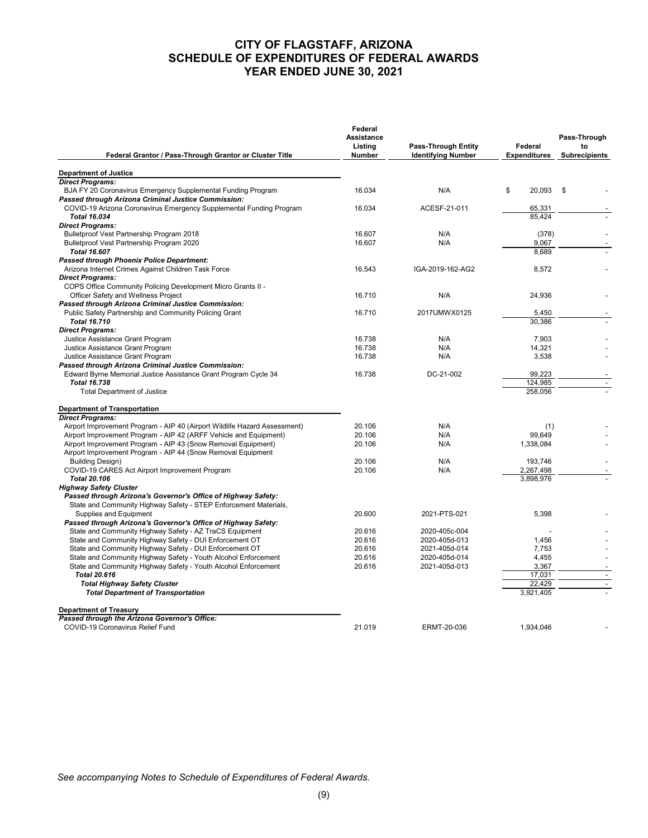#### **CITY OF FLAGSTAFF, ARIZONA SCHEDULE OF EXPENDITURES OF FEDERAL AWARDS YEAR ENDED JUNE 30, 2021**

|                                                                           | Federal<br><b>Assistance</b> |                                                         |                                | Pass-Through               |
|---------------------------------------------------------------------------|------------------------------|---------------------------------------------------------|--------------------------------|----------------------------|
| Federal Grantor / Pass-Through Grantor or Cluster Title                   | Listing<br><b>Number</b>     | <b>Pass-Through Entity</b><br><b>Identifying Number</b> | Federal<br><b>Expenditures</b> | to<br><b>Subrecipients</b> |
|                                                                           |                              |                                                         |                                |                            |
| <b>Department of Justice</b>                                              |                              |                                                         |                                |                            |
| <b>Direct Programs:</b>                                                   |                              |                                                         |                                |                            |
| BJA FY 20 Coronavirus Emergency Supplemental Funding Program              | 16.034                       | N/A                                                     | \$<br>20,093                   | \$                         |
| Passed through Arizona Criminal Justice Commission:                       |                              |                                                         |                                |                            |
| COVID-19 Arizona Coronavirus Emergency Supplemental Funding Program       | 16.034                       | ACESF-21-011                                            | 65,331                         |                            |
| <b>Total 16.034</b>                                                       |                              |                                                         | 85,424                         |                            |
| <b>Direct Programs:</b>                                                   |                              |                                                         |                                |                            |
| Bulletproof Vest Partnership Program 2018                                 | 16.607                       | N/A                                                     | (378)                          |                            |
| Bulletproof Vest Partnership Program 2020                                 | 16.607                       | N/A                                                     | 9.067                          |                            |
| <b>Total 16.607</b>                                                       |                              |                                                         | 8,689                          |                            |
| <b>Passed through Phoenix Police Department:</b>                          |                              |                                                         |                                |                            |
| Arizona Internet Crimes Against Children Task Force                       | 16.543                       | IGA-2019-162-AG2                                        | 8,572                          |                            |
| <b>Direct Programs:</b>                                                   |                              |                                                         |                                |                            |
| COPS Office Community Policing Development Micro Grants II -              |                              |                                                         |                                |                            |
| Officer Safety and Wellness Project                                       | 16.710                       | N/A                                                     | 24,936                         |                            |
| Passed through Arizona Criminal Justice Commission:                       |                              |                                                         |                                |                            |
| Public Safety Partnership and Community Policing Grant                    | 16.710                       | 2017UMWX0125                                            | 5,450<br>30,386                |                            |
| <b>Total 16.710</b>                                                       |                              |                                                         |                                |                            |
| <b>Direct Programs:</b><br>Justice Assistance Grant Program               | 16.738                       | N/A                                                     | 7,903                          |                            |
| Justice Assistance Grant Program                                          | 16.738                       | N/A                                                     | 14,321                         |                            |
| Justice Assistance Grant Program                                          | 16.738                       | N/A                                                     | 3,538                          |                            |
| Passed through Arizona Criminal Justice Commission:                       |                              |                                                         |                                |                            |
| Edward Byrne Memorial Justice Assistance Grant Program Cycle 34           | 16.738                       | DC-21-002                                               | 99,223                         |                            |
| <b>Total 16.738</b>                                                       |                              |                                                         | 124.985                        | $\overline{\phantom{a}}$   |
| <b>Total Department of Justice</b>                                        |                              |                                                         | 258,056                        |                            |
|                                                                           |                              |                                                         |                                |                            |
| <b>Department of Transportation</b>                                       |                              |                                                         |                                |                            |
| <b>Direct Programs:</b>                                                   |                              |                                                         |                                |                            |
| Airport Improvement Program - AIP 40 (Airport Wildlife Hazard Assessment) | 20.106                       | N/A                                                     | (1)                            |                            |
| Airport Improvement Program - AIP 42 (ARFF Vehicle and Equipment)         | 20.106                       | N/A                                                     | 99.649                         |                            |
| Airport Improvement Program - AIP 43 (Snow Removal Equipment)             | 20.106                       | N/A                                                     | 1,338,084                      |                            |
| Airport Improvement Program - AIP 44 (Snow Removal Equipment              |                              |                                                         |                                |                            |
| <b>Building Design)</b>                                                   | 20.106                       | N/A                                                     | 193,746                        | $\overline{a}$             |
| COVID-19 CARES Act Airport Improvement Program                            | 20.106                       | N/A                                                     | 2,267,498                      |                            |
| <b>Total 20.106</b><br><b>Highway Safety Cluster</b>                      |                              |                                                         | 3,898,976                      |                            |
| Passed through Arizona's Governor's Office of Highway Safety:             |                              |                                                         |                                |                            |
| State and Community Highway Safety - STEP Enforcement Materials,          |                              |                                                         |                                |                            |
| Supplies and Equipment                                                    | 20.600                       | 2021-PTS-021                                            | 5,398                          |                            |
| Passed through Arizona's Governor's Office of Highway Safety:             |                              |                                                         |                                |                            |
| State and Community Highway Safety - AZ TraCS Equipment                   | 20.616                       | 2020-405c-004                                           |                                |                            |
| State and Community Highway Safety - DUI Enforcement OT                   | 20.616                       | 2020-405d-013                                           | 1,456                          |                            |
| State and Community Highway Safety - DUI Enforcement OT                   | 20.616                       | 2021-405d-014                                           | 7,753                          |                            |
| State and Community Highway Safety - Youth Alcohol Enforcement            | 20.616                       | 2020-405d-014                                           | 4,455                          |                            |
| State and Community Highway Safety - Youth Alcohol Enforcement            | 20.616                       | 2021-405d-013                                           | 3,367                          |                            |
| <b>Total 20.616</b>                                                       |                              |                                                         | 17,031                         | $\sim$                     |
| <b>Total Highway Safety Cluster</b>                                       |                              |                                                         | 22,429                         | $\overline{\phantom{a}}$   |
| <b>Total Department of Transportation</b>                                 |                              |                                                         | 3,921,405                      |                            |
|                                                                           |                              |                                                         |                                |                            |
| <b>Department of Treasury</b>                                             |                              |                                                         |                                |                            |
| Passed through the Arizona Governor's Office:                             |                              |                                                         |                                |                            |
| COVID-19 Coronavirus Relief Fund                                          | 21.019                       | ERMT-20-036                                             | 1,934,046                      |                            |

*See accompanying Notes to Schedule of Expenditures of Federal Awards.*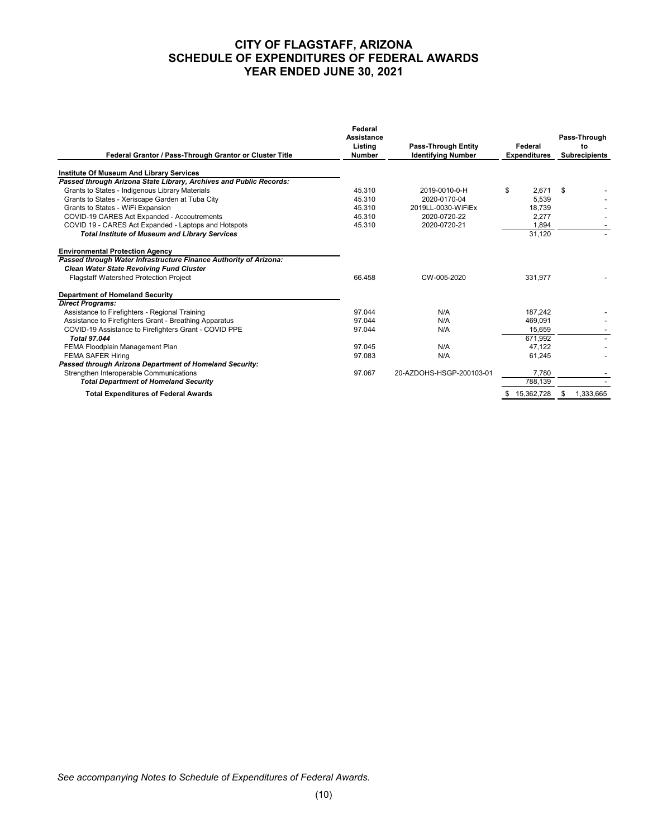#### **CITY OF FLAGSTAFF, ARIZONA SCHEDULE OF EXPENDITURES OF FEDERAL AWARDS YEAR ENDED JUNE 30, 2021**

| Federal Grantor / Pass-Through Grantor or Cluster Title            | Federal<br><b>Assistance</b><br>Listing<br><b>Number</b> | <b>Pass-Through Entity</b><br><b>Identifying Number</b> | Federal<br><b>Expenditures</b> | Pass-Through<br>to<br><b>Subrecipients</b> |
|--------------------------------------------------------------------|----------------------------------------------------------|---------------------------------------------------------|--------------------------------|--------------------------------------------|
| <b>Institute Of Museum And Library Services</b>                    |                                                          |                                                         |                                |                                            |
| Passed through Arizona State Library, Archives and Public Records: |                                                          |                                                         |                                |                                            |
| Grants to States - Indigenous Library Materials                    | 45.310                                                   | 2019-0010-0-H                                           | 2,671<br>\$                    | -S                                         |
| Grants to States - Xeriscape Garden at Tuba City                   | 45.310                                                   | 2020-0170-04                                            | 5,539                          |                                            |
| Grants to States - WiFi Expansion                                  | 45.310                                                   | 2019LL-0030-WIFIEx                                      | 18,739                         |                                            |
| COVID-19 CARES Act Expanded - Accoutrements                        | 45.310                                                   | 2020-0720-22                                            | 2,277                          |                                            |
| COVID 19 - CARES Act Expanded - Laptops and Hotspots               | 45.310                                                   | 2020-0720-21                                            | 1.894                          |                                            |
| <b>Total Institute of Museum and Library Services</b>              |                                                          |                                                         | 31,120                         |                                            |
| <b>Environmental Protection Agency</b>                             |                                                          |                                                         |                                |                                            |
| Passed through Water Infrastructure Finance Authority of Arizona:  |                                                          |                                                         |                                |                                            |
| <b>Clean Water State Revolving Fund Cluster</b>                    |                                                          |                                                         |                                |                                            |
| <b>Flagstaff Watershed Protection Project</b>                      | 66.458                                                   | CW-005-2020                                             | 331.977                        |                                            |
| <b>Department of Homeland Security</b>                             |                                                          |                                                         |                                |                                            |
| <b>Direct Programs:</b>                                            |                                                          |                                                         |                                |                                            |
| Assistance to Firefighters - Regional Training                     | 97.044                                                   | N/A                                                     | 187.242                        |                                            |
| Assistance to Firefighters Grant - Breathing Apparatus             | 97.044                                                   | N/A                                                     | 469,091                        |                                            |
| COVID-19 Assistance to Firefighters Grant - COVID PPE              | 97.044                                                   | N/A                                                     | 15.659                         |                                            |
| <b>Total 97.044</b>                                                |                                                          |                                                         | 671,992                        |                                            |
| FEMA Floodplain Management Plan                                    | 97.045                                                   | N/A                                                     | 47.122                         |                                            |
| <b>FEMA SAFER Hiring</b>                                           | 97.083                                                   | N/A                                                     | 61,245                         |                                            |
| Passed through Arizona Department of Homeland Security:            |                                                          |                                                         |                                |                                            |
| Strengthen Interoperable Communications                            | 97.067                                                   | 20-AZDOHS-HSGP-200103-01                                | 7,780                          |                                            |
| <b>Total Department of Homeland Security</b>                       |                                                          |                                                         | 788.139                        |                                            |
| <b>Total Expenditures of Federal Awards</b>                        |                                                          |                                                         | 15,362,728                     | 1,333,665<br>S                             |
|                                                                    |                                                          |                                                         |                                |                                            |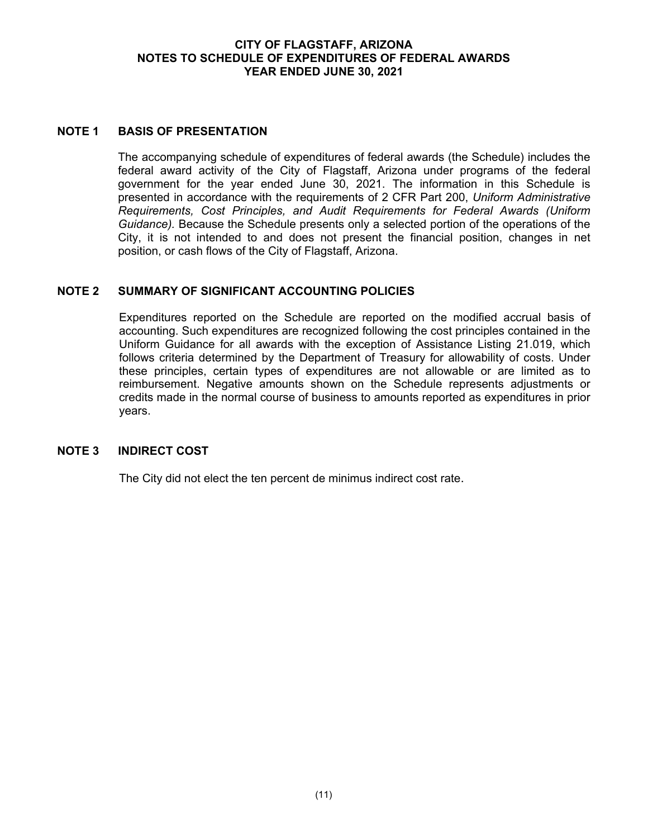#### **CITY OF FLAGSTAFF, ARIZONA NOTES TO SCHEDULE OF EXPENDITURES OF FEDERAL AWARDS YEAR ENDED JUNE 30, 2021**

#### **NOTE 1 BASIS OF PRESENTATION**

The accompanying schedule of expenditures of federal awards (the Schedule) includes the federal award activity of the City of Flagstaff, Arizona under programs of the federal government for the year ended June 30, 2021. The information in this Schedule is presented in accordance with the requirements of 2 CFR Part 200, *Uniform Administrative Requirements, Cost Principles, and Audit Requirements for Federal Awards (Uniform Guidance).* Because the Schedule presents only a selected portion of the operations of the City, it is not intended to and does not present the financial position, changes in net position, or cash flows of the City of Flagstaff, Arizona.

# **NOTE 2 SUMMARY OF SIGNIFICANT ACCOUNTING POLICIES**

Expenditures reported on the Schedule are reported on the modified accrual basis of accounting. Such expenditures are recognized following the cost principles contained in the Uniform Guidance for all awards with the exception of Assistance Listing 21.019, which follows criteria determined by the Department of Treasury for allowability of costs. Under these principles, certain types of expenditures are not allowable or are limited as to reimbursement. Negative amounts shown on the Schedule represents adjustments or credits made in the normal course of business to amounts reported as expenditures in prior years.

#### **NOTE 3 INDIRECT COST**

The City did not elect the ten percent de minimus indirect cost rate.